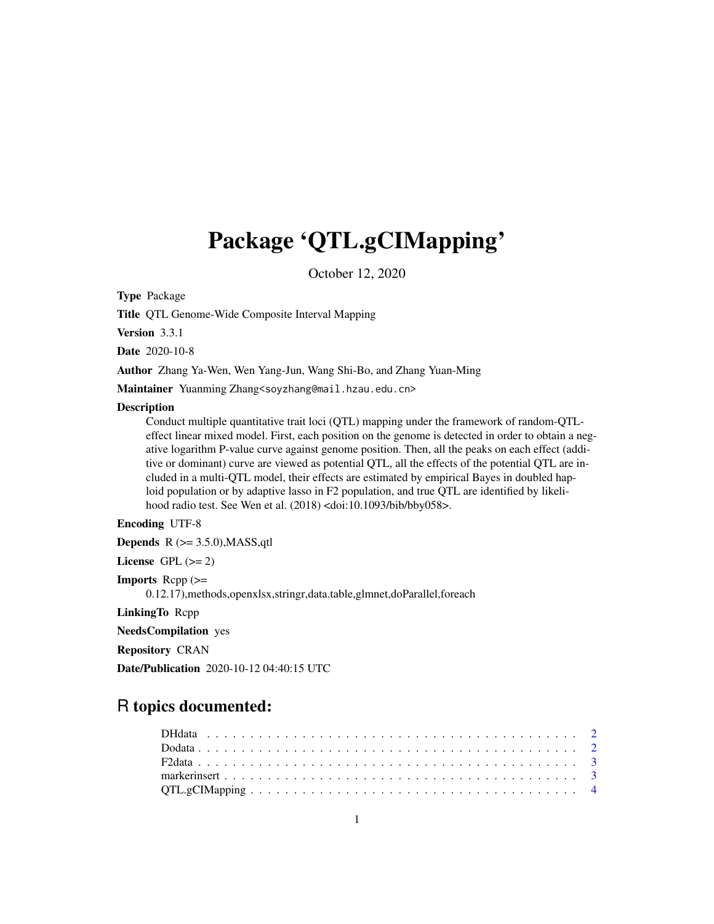# Package 'QTL.gCIMapping'

October 12, 2020

Type Package

Title QTL Genome-Wide Composite Interval Mapping

Version 3.3.1

Date 2020-10-8

Author Zhang Ya-Wen, Wen Yang-Jun, Wang Shi-Bo, and Zhang Yuan-Ming

Maintainer Yuanming Zhang<soyzhang@mail.hzau.edu.cn>

#### **Description**

Conduct multiple quantitative trait loci (QTL) mapping under the framework of random-QTLeffect linear mixed model. First, each position on the genome is detected in order to obtain a negative logarithm P-value curve against genome position. Then, all the peaks on each effect (additive or dominant) curve are viewed as potential QTL, all the effects of the potential QTL are included in a multi-QTL model, their effects are estimated by empirical Bayes in doubled haploid population or by adaptive lasso in F2 population, and true QTL are identified by likelihood radio test. See Wen et al. (2018) <doi:10.1093/bib/bby058>.

# Encoding UTF-8

**Depends**  $R$  ( $>= 3.5.0$ ), MASS, qtl

License GPL  $(>= 2)$ 

Imports Rcpp (>=

0.12.17),methods,openxlsx,stringr,data.table,glmnet,doParallel,foreach

LinkingTo Rcpp

NeedsCompilation yes

Repository CRAN

Date/Publication 2020-10-12 04:40:15 UTC

# R topics documented: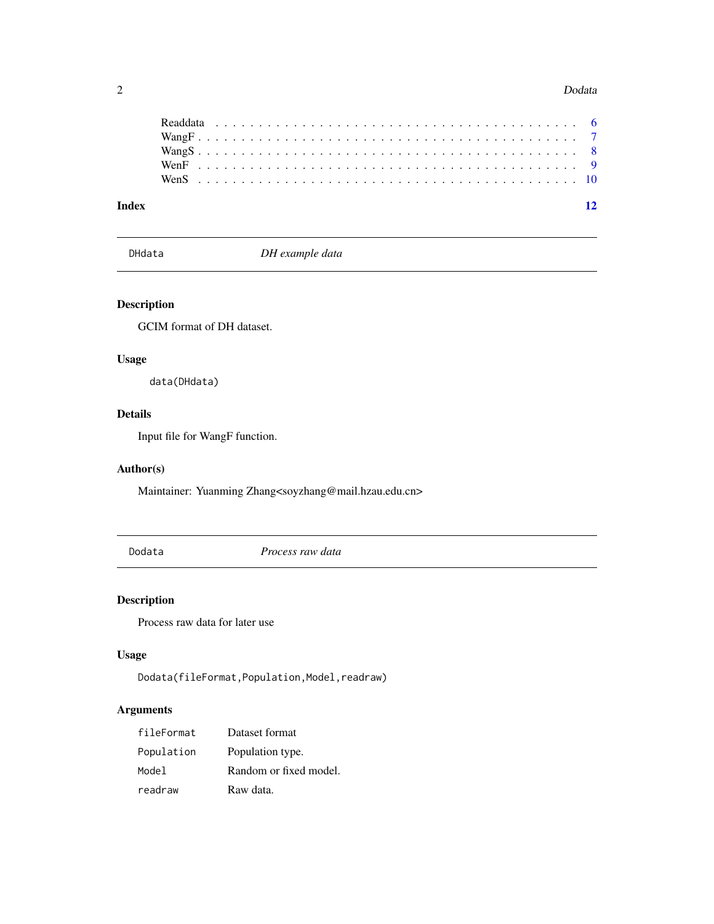#### 2 Dodata

| Index |  |  |  |  |  |  |  |  |  |  |  |  |  |  |  |  |  |  |  |  |  |  | $\overline{12}$ |
|-------|--|--|--|--|--|--|--|--|--|--|--|--|--|--|--|--|--|--|--|--|--|--|-----------------|

DHdata *DH example data*

# Description

GCIM format of DH dataset.

# Usage

data(DHdata)

# Details

Input file for WangF function.

# Author(s)

Maintainer: Yuanming Zhang<soyzhang@mail.hzau.edu.cn>

Dodata *Process raw data*

# Description

Process raw data for later use

# Usage

Dodata(fileFormat,Population,Model,readraw)

# Arguments

| fileFormat | Dataset format         |
|------------|------------------------|
| Population | Population type.       |
| Model      | Random or fixed model. |
| readraw    | Raw data.              |

<span id="page-1-0"></span>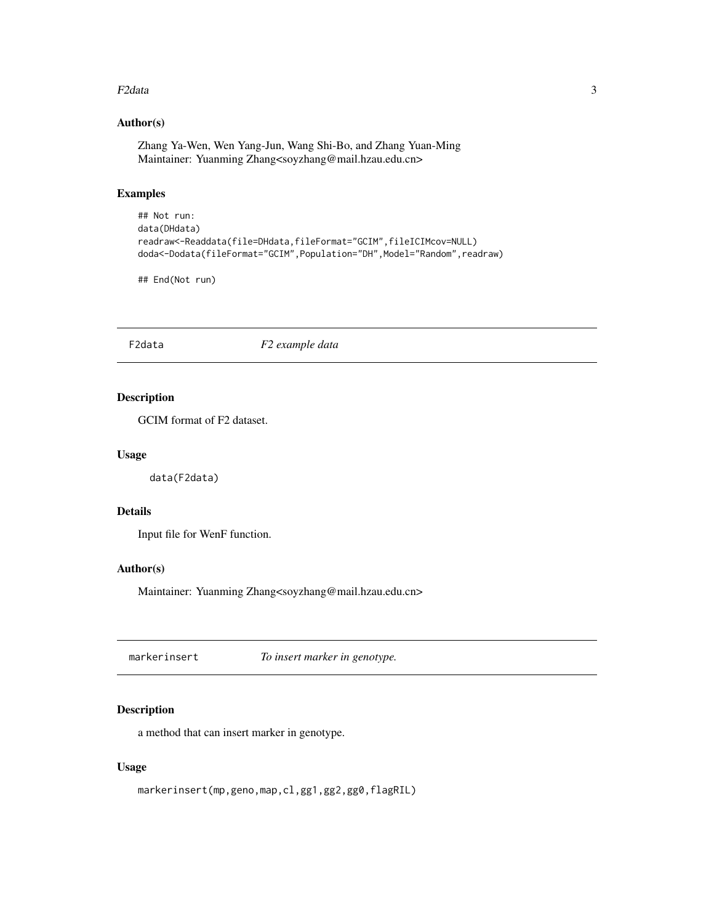#### <span id="page-2-0"></span> $F2$ data  $3$

# Author(s)

Zhang Ya-Wen, Wen Yang-Jun, Wang Shi-Bo, and Zhang Yuan-Ming Maintainer: Yuanming Zhang<soyzhang@mail.hzau.edu.cn>

#### Examples

```
## Not run:
data(DHdata)
readraw<-Readdata(file=DHdata,fileFormat="GCIM",fileICIMcov=NULL)
doda<-Dodata(fileFormat="GCIM",Population="DH",Model="Random",readraw)
```
## End(Not run)

F2data *F2 example data*

# Description

GCIM format of F2 dataset.

### Usage

data(F2data)

#### Details

Input file for WenF function.

# Author(s)

Maintainer: Yuanming Zhang<soyzhang@mail.hzau.edu.cn>

markerinsert *To insert marker in genotype.*

# Description

a method that can insert marker in genotype.

#### Usage

markerinsert(mp,geno,map,cl,gg1,gg2,gg0,flagRIL)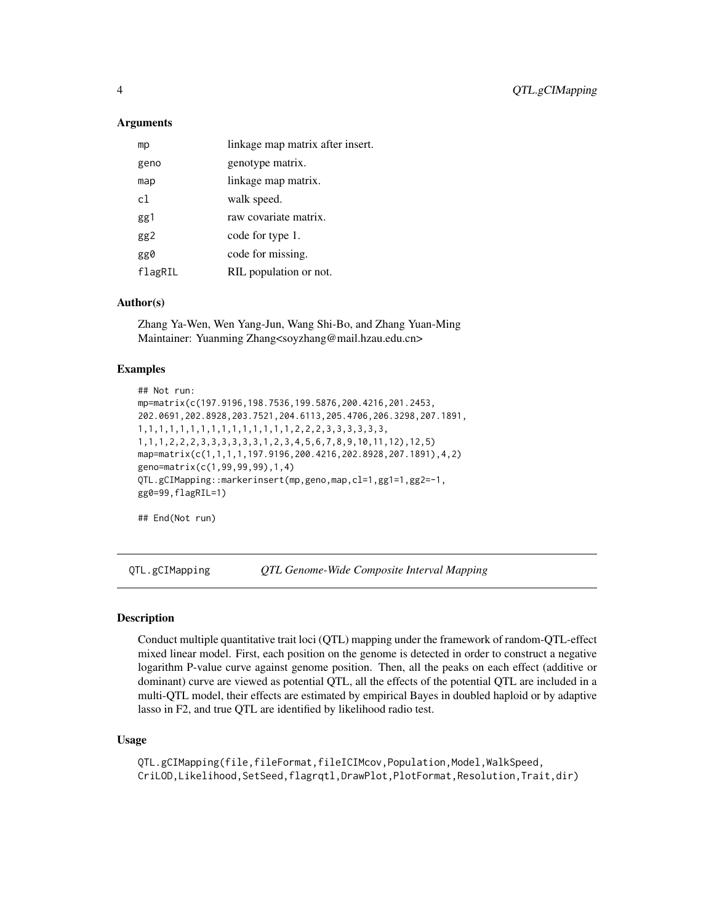#### <span id="page-3-0"></span>Arguments

| mp      | linkage map matrix after insert. |
|---------|----------------------------------|
| geno    | genotype matrix.                 |
| map     | linkage map matrix.              |
| c1.     | walk speed.                      |
| gg1     | raw covariate matrix.            |
| gg2     | code for type 1.                 |
| gg0     | code for missing.                |
| flagRIL | RIL population or not.           |

# Author(s)

Zhang Ya-Wen, Wen Yang-Jun, Wang Shi-Bo, and Zhang Yuan-Ming Maintainer: Yuanming Zhang<soyzhang@mail.hzau.edu.cn>

# Examples

```
## Not run:
mp=matrix(c(197.9196,198.7536,199.5876,200.4216,201.2453,
202.0691,202.8928,203.7521,204.6113,205.4706,206.3298,207.1891,
1,1,1,1,1,1,1,1,1,1,1,1,1,1,1,2,2,2,3,3,3,3,3,3,
1,1,1,2,2,2,3,3,3,3,3,3,1,2,3,4,5,6,7,8,9,10,11,12),12,5)
map=matrix(c(1,1,1,1,197.9196,200.4216,202.8928,207.1891),4,2)
geno=matrix(c(1,99,99,99),1,4)
QTL.gCIMapping::markerinsert(mp,geno,map,cl=1,gg1=1,gg2=-1,
gg0=99,flagRIL=1)
```

```
## End(Not run)
```
QTL.gCIMapping *QTL Genome-Wide Composite Interval Mapping*

#### Description

Conduct multiple quantitative trait loci (QTL) mapping under the framework of random-QTL-effect mixed linear model. First, each position on the genome is detected in order to construct a negative logarithm P-value curve against genome position. Then, all the peaks on each effect (additive or dominant) curve are viewed as potential QTL, all the effects of the potential QTL are included in a multi-QTL model, their effects are estimated by empirical Bayes in doubled haploid or by adaptive lasso in F2, and true QTL are identified by likelihood radio test.

#### Usage

QTL.gCIMapping(file,fileFormat,fileICIMcov,Population,Model,WalkSpeed, CriLOD,Likelihood,SetSeed,flagrqtl,DrawPlot,PlotFormat,Resolution,Trait,dir)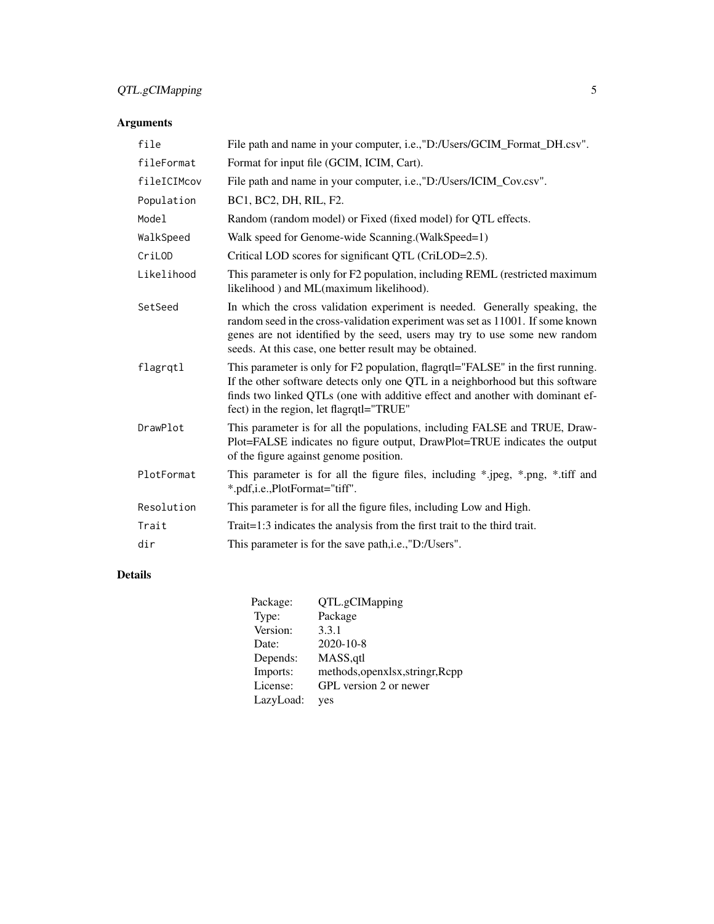# QTL.gCIMapping 5

# Arguments

| file        | File path and name in your computer, i.e.,"D:/Users/GCIM_Format_DH.csv".                                                                                                                                                                                                                               |
|-------------|--------------------------------------------------------------------------------------------------------------------------------------------------------------------------------------------------------------------------------------------------------------------------------------------------------|
| fileFormat  | Format for input file (GCIM, ICIM, Cart).                                                                                                                                                                                                                                                              |
| fileICIMcov | File path and name in your computer, i.e., "D:/Users/ICIM_Cov.csv".                                                                                                                                                                                                                                    |
| Population  | BC1, BC2, DH, RIL, F2.                                                                                                                                                                                                                                                                                 |
| Model       | Random (random model) or Fixed (fixed model) for QTL effects.                                                                                                                                                                                                                                          |
| WalkSpeed   | Walk speed for Genome-wide Scanning. (WalkSpeed=1)                                                                                                                                                                                                                                                     |
| CriLOD      | Critical LOD scores for significant QTL (CriLOD=2.5).                                                                                                                                                                                                                                                  |
| Likelihood  | This parameter is only for F2 population, including REML (restricted maximum<br>likelihood) and ML(maximum likelihood).                                                                                                                                                                                |
| SetSeed     | In which the cross validation experiment is needed. Generally speaking, the<br>random seed in the cross-validation experiment was set as 11001. If some known<br>genes are not identified by the seed, users may try to use some new random<br>seeds. At this case, one better result may be obtained. |
| flagrqtl    | This parameter is only for F2 population, flagrqtl="FALSE" in the first running.<br>If the other software detects only one QTL in a neighborhood but this software<br>finds two linked QTLs (one with additive effect and another with dominant ef-<br>fect) in the region, let flagratl="TRUE"        |
| DrawPlot    | This parameter is for all the populations, including FALSE and TRUE, Draw-<br>Plot=FALSE indicates no figure output, DrawPlot=TRUE indicates the output<br>of the figure against genome position.                                                                                                      |
| PlotFormat  | This parameter is for all the figure files, including *.jpeg, *.png, *.tiff and<br>*.pdf,i.e.,PlotFormat="tiff".                                                                                                                                                                                       |
| Resolution  | This parameter is for all the figure files, including Low and High.                                                                                                                                                                                                                                    |
| Trait       | Trait=1:3 indicates the analysis from the first trait to the third trait.                                                                                                                                                                                                                              |
| dir         | This parameter is for the save path, i.e., "D:/Users".                                                                                                                                                                                                                                                 |

# Details

| Package:  | QTL.gCIMapping                   |
|-----------|----------------------------------|
| Type:     | Package                          |
| Version:  | 3.3.1                            |
| Date:     | 2020-10-8                        |
| Depends:  | MASS, qtl                        |
| Imports:  | methods, openxlsx, stringr, Rcpp |
| License:  | GPL version 2 or newer           |
| LazyLoad: | yes                              |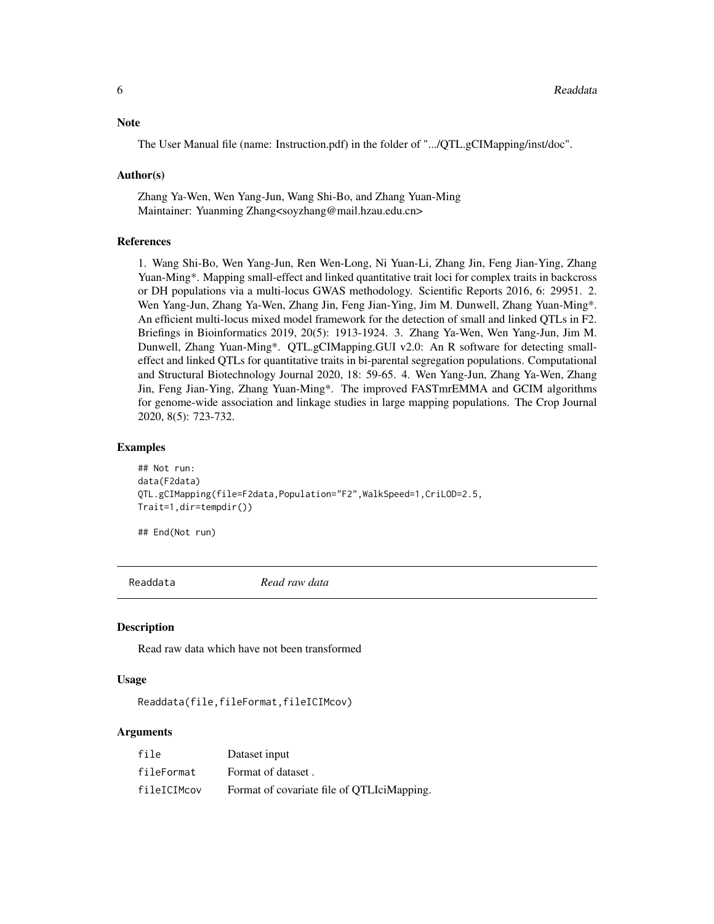#### <span id="page-5-0"></span>**Note**

The User Manual file (name: Instruction.pdf) in the folder of ".../QTL.gCIMapping/inst/doc".

#### Author(s)

Zhang Ya-Wen, Wen Yang-Jun, Wang Shi-Bo, and Zhang Yuan-Ming Maintainer: Yuanming Zhang<soyzhang@mail.hzau.edu.cn>

#### References

1. Wang Shi-Bo, Wen Yang-Jun, Ren Wen-Long, Ni Yuan-Li, Zhang Jin, Feng Jian-Ying, Zhang Yuan-Ming\*. Mapping small-effect and linked quantitative trait loci for complex traits in backcross or DH populations via a multi-locus GWAS methodology. Scientific Reports 2016, 6: 29951. 2. Wen Yang-Jun, Zhang Ya-Wen, Zhang Jin, Feng Jian-Ying, Jim M. Dunwell, Zhang Yuan-Ming\*. An efficient multi-locus mixed model framework for the detection of small and linked QTLs in F2. Briefings in Bioinformatics 2019, 20(5): 1913-1924. 3. Zhang Ya-Wen, Wen Yang-Jun, Jim M. Dunwell, Zhang Yuan-Ming\*. QTL.gCIMapping.GUI v2.0: An R software for detecting smalleffect and linked QTLs for quantitative traits in bi-parental segregation populations. Computational and Structural Biotechnology Journal 2020, 18: 59-65. 4. Wen Yang-Jun, Zhang Ya-Wen, Zhang Jin, Feng Jian-Ying, Zhang Yuan-Ming\*. The improved FASTmrEMMA and GCIM algorithms for genome-wide association and linkage studies in large mapping populations. The Crop Journal 2020, 8(5): 723-732.

#### Examples

```
## Not run:
data(F2data)
QTL.gCIMapping(file=F2data,Population="F2",WalkSpeed=1,CriLOD=2.5,
Trait=1,dir=tempdir())
```
## End(Not run)

Readdata *Read raw data*

#### **Description**

Read raw data which have not been transformed

#### Usage

Readdata(file,fileFormat,fileICIMcov)

#### Arguments

| file        | Dataset input                              |
|-------------|--------------------------------------------|
| fileFormat  | Format of dataset.                         |
| fileICIMcov | Format of covariate file of QTLIciMapping. |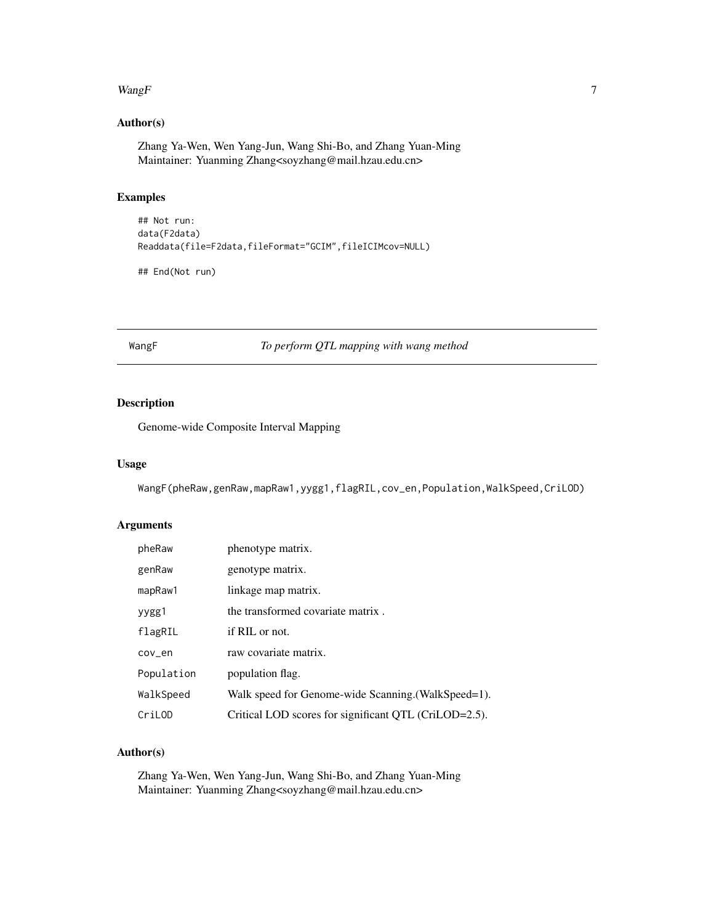#### <span id="page-6-0"></span> $W\!angF$  7

# Author(s)

Zhang Ya-Wen, Wen Yang-Jun, Wang Shi-Bo, and Zhang Yuan-Ming Maintainer: Yuanming Zhang<soyzhang@mail.hzau.edu.cn>

#### Examples

```
## Not run:
data(F2data)
Readdata(file=F2data,fileFormat="GCIM",fileICIMcov=NULL)
```
## End(Not run)

WangF *To perform QTL mapping with wang method*

# Description

Genome-wide Composite Interval Mapping

#### Usage

WangF(pheRaw,genRaw,mapRaw1,yygg1,flagRIL,cov\_en,Population,WalkSpeed,CriLOD)

# Arguments

| pheRaw     | phenotype matrix.                                     |
|------------|-------------------------------------------------------|
| genRaw     | genotype matrix.                                      |
| mapRaw1    | linkage map matrix.                                   |
| yygg1      | the transformed covariate matrix.                     |
| flagRIL    | if RIL or not.                                        |
| cov_en     | raw covariate matrix.                                 |
| Population | population flag.                                      |
| WalkSpeed  | Walk speed for Genome-wide Scanning. (WalkSpeed=1).   |
| CriLOD     | Critical LOD scores for significant QTL (CriLOD=2.5). |

# Author(s)

Zhang Ya-Wen, Wen Yang-Jun, Wang Shi-Bo, and Zhang Yuan-Ming Maintainer: Yuanming Zhang<soyzhang@mail.hzau.edu.cn>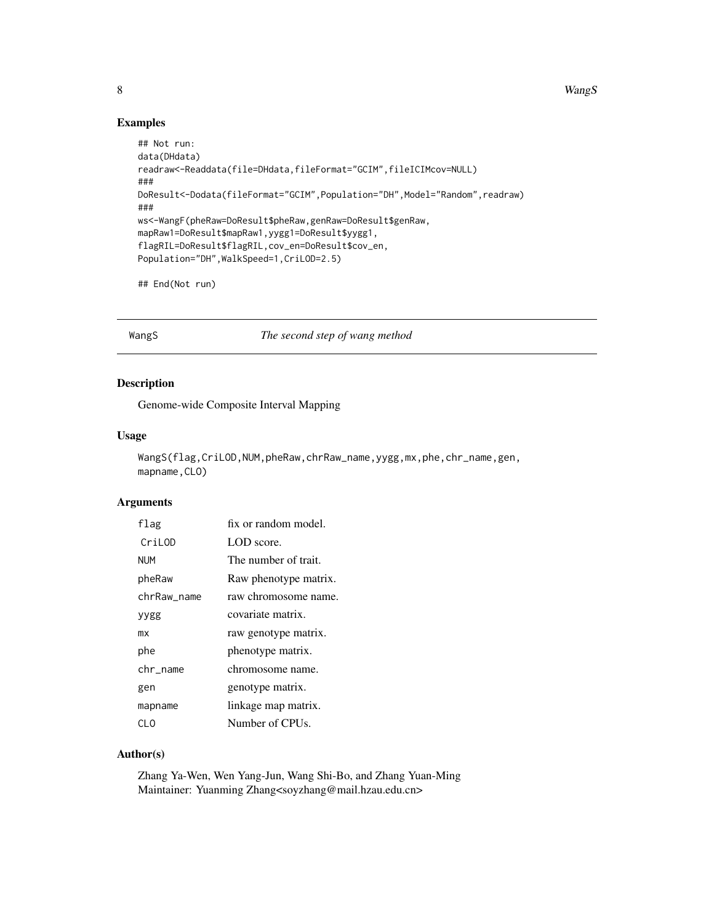<span id="page-7-0"></span>8 WangS

# Examples

```
## Not run:
data(DHdata)
readraw<-Readdata(file=DHdata,fileFormat="GCIM",fileICIMcov=NULL)
###
DoResult<-Dodata(fileFormat="GCIM",Population="DH",Model="Random",readraw)
###
ws<-WangF(pheRaw=DoResult$pheRaw,genRaw=DoResult$genRaw,
mapRaw1=DoResult$mapRaw1,yygg1=DoResult$yygg1,
flagRIL=DoResult$flagRIL,cov_en=DoResult$cov_en,
Population="DH", WalkSpeed=1, CriLOD=2.5)
```
## End(Not run)

WangS *The second step of wang method*

# Description

Genome-wide Composite Interval Mapping

### Usage

```
WangS(flag,CriLOD,NUM,pheRaw,chrRaw_name,yygg,mx,phe,chr_name,gen,
mapname, CLO)
```
### Arguments

| flag        | fix or random model.  |
|-------------|-----------------------|
| CriLOD      | LOD score.            |
| <b>NUM</b>  | The number of trait.  |
| pheRaw      | Raw phenotype matrix. |
| chrRaw name | raw chromosome name.  |
| yygg        | covariate matrix.     |
| mx          | raw genotype matrix.  |
| phe         | phenotype matrix.     |
| chr_name    | chromosome name.      |
| gen         | genotype matrix.      |
| mapname     | linkage map matrix.   |
| CL O        | Number of CPUs.       |

#### Author(s)

Zhang Ya-Wen, Wen Yang-Jun, Wang Shi-Bo, and Zhang Yuan-Ming Maintainer: Yuanming Zhang<soyzhang@mail.hzau.edu.cn>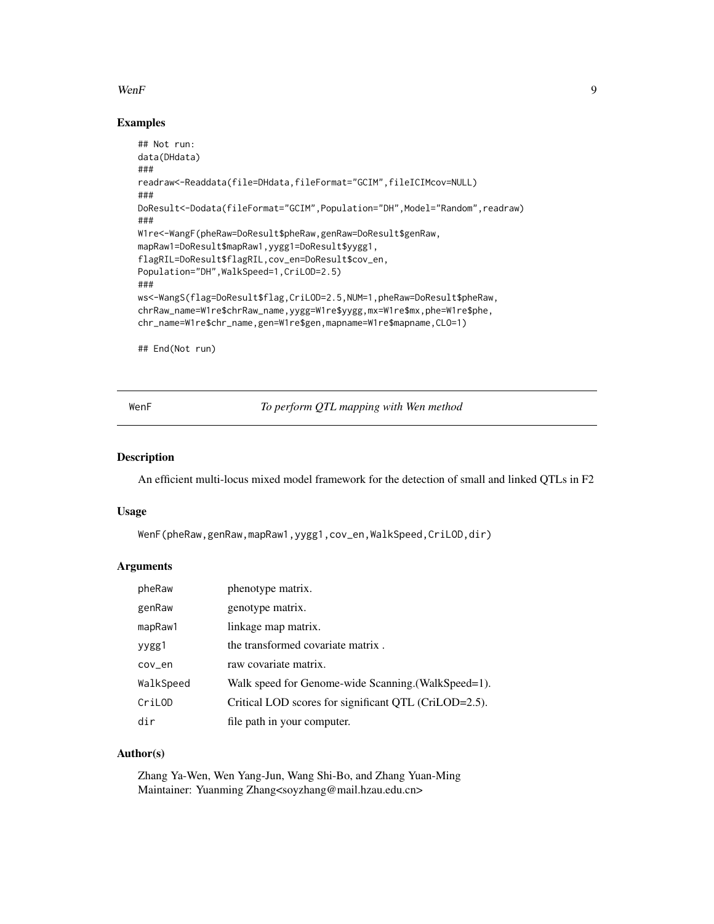#### <span id="page-8-0"></span> $WenF$  9

#### Examples

```
## Not run:
data(DHdata)
###
readraw<-Readdata(file=DHdata,fileFormat="GCIM",fileICIMcov=NULL)
###
DoResult<-Dodata(fileFormat="GCIM",Population="DH",Model="Random",readraw)
###
W1re<-WangF(pheRaw=DoResult$pheRaw,genRaw=DoResult$genRaw,
mapRaw1=DoResult$mapRaw1,yygg1=DoResult$yygg1,
flagRIL=DoResult$flagRIL,cov_en=DoResult$cov_en,
Population="DH", WalkSpeed=1, CriLOD=2.5)
###
ws<-WangS(flag=DoResult$flag,CriLOD=2.5,NUM=1,pheRaw=DoResult$pheRaw,
chrRaw_name=W1re$chrRaw_name,yygg=W1re$yygg,mx=W1re$mx,phe=W1re$phe,
chr_name=W1re$chr_name,gen=W1re$gen,mapname=W1re$mapname,CLO=1)
```
## End(Not run)

WenF *To perform QTL mapping with Wen method*

#### Description

An efficient multi-locus mixed model framework for the detection of small and linked QTLs in F2

#### Usage

```
WenF(pheRaw,genRaw,mapRaw1,yygg1,cov_en,WalkSpeed,CriLOD,dir)
```
#### **Arguments**

| pheRaw    | phenotype matrix.                                     |
|-----------|-------------------------------------------------------|
| genRaw    | genotype matrix.                                      |
| mapRaw1   | linkage map matrix.                                   |
| yygg1     | the transformed covariate matrix.                     |
| cov_en    | raw covariate matrix.                                 |
| WalkSpeed | Walk speed for Genome-wide Scanning. (WalkSpeed=1).   |
| CriLOD    | Critical LOD scores for significant QTL (CriLOD=2.5). |
| dir       | file path in your computer.                           |

#### Author(s)

Zhang Ya-Wen, Wen Yang-Jun, Wang Shi-Bo, and Zhang Yuan-Ming Maintainer: Yuanming Zhang<soyzhang@mail.hzau.edu.cn>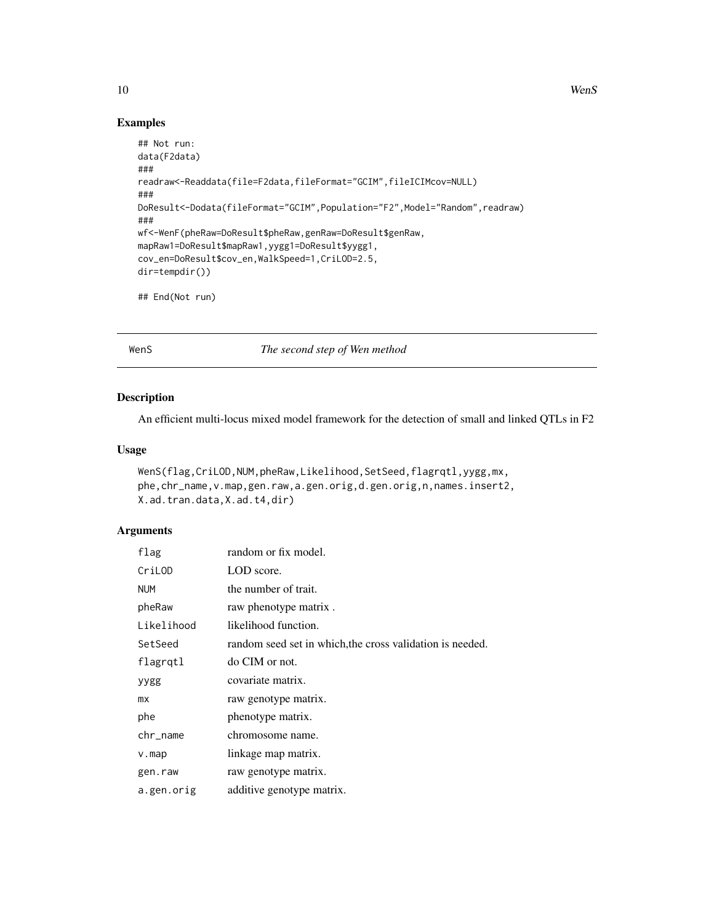10 WenS

# Examples

```
## Not run:
data(F2data)
###
readraw<-Readdata(file=F2data,fileFormat="GCIM",fileICIMcov=NULL)
###
DoResult<-Dodata(fileFormat="GCIM",Population="F2",Model="Random",readraw)
###
wf<-WenF(pheRaw=DoResult$pheRaw,genRaw=DoResult$genRaw,
mapRaw1=DoResult$mapRaw1,yygg1=DoResult$yygg1,
cov_en=DoResult$cov_en,WalkSpeed=1,CriLOD=2.5,
dir=tempdir())
## End(Not run)
```
WenS *The second step of Wen method*

# Description

An efficient multi-locus mixed model framework for the detection of small and linked QTLs in F2

### Usage

```
WenS(flag,CriLOD,NUM,pheRaw,Likelihood,SetSeed,flagrqtl,yygg,mx,
phe,chr_name,v.map,gen.raw,a.gen.orig,d.gen.orig,n,names.insert2,
X.ad.tran.data,X.ad.t4,dir)
```
#### Arguments

| flag       | random or fix model.                                      |
|------------|-----------------------------------------------------------|
| CriLOD     | LOD score.                                                |
| <b>NUM</b> | the number of trait.                                      |
| pheRaw     | raw phenotype matrix.                                     |
| Likelihood | likelihood function.                                      |
| SetSeed    | random seed set in which, the cross validation is needed. |
| flagrqtl   | do CIM or not.                                            |
| yygg       | covariate matrix.                                         |
| mx         | raw genotype matrix.                                      |
| phe        | phenotype matrix.                                         |
| chr_name   | chromosome name.                                          |
| $v$ . map  | linkage map matrix.                                       |
| gen.raw    | raw genotype matrix.                                      |
| a.gen.orig | additive genotype matrix.                                 |

<span id="page-9-0"></span>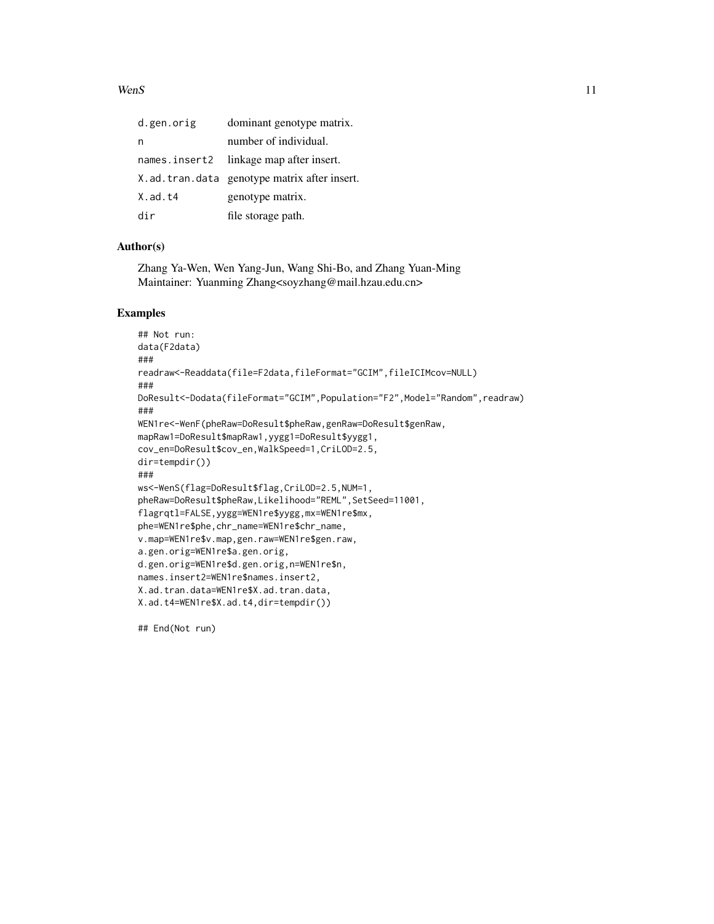#### $Wens$  11

| d.gen.orig     | dominant genotype matrix.                       |
|----------------|-------------------------------------------------|
| n              | number of individual.                           |
|                | names.insert2 linkage map after insert.         |
|                | X. ad. tran. data genotype matrix after insert. |
| $X$ . ad. $t4$ | genotype matrix.                                |
| dir            | file storage path.                              |

#### Author(s)

Zhang Ya-Wen, Wen Yang-Jun, Wang Shi-Bo, and Zhang Yuan-Ming Maintainer: Yuanming Zhang<soyzhang@mail.hzau.edu.cn>

#### Examples

```
## Not run:
data(F2data)
###
readraw<-Readdata(file=F2data,fileFormat="GCIM",fileICIMcov=NULL)
###
DoResult<-Dodata(fileFormat="GCIM",Population="F2",Model="Random",readraw)
###
WEN1re<-WenF(pheRaw=DoResult$pheRaw,genRaw=DoResult$genRaw,
mapRaw1=DoResult$mapRaw1,yygg1=DoResult$yygg1,
cov_en=DoResult$cov_en,WalkSpeed=1,CriLOD=2.5,
dir=tempdir())
###
ws<-WenS(flag=DoResult$flag,CriLOD=2.5,NUM=1,
pheRaw=DoResult$pheRaw,Likelihood="REML",SetSeed=11001,
flagrqtl=FALSE,yygg=WEN1re$yygg,mx=WEN1re$mx,
phe=WEN1re$phe,chr_name=WEN1re$chr_name,
v.map=WEN1re$v.map,gen.raw=WEN1re$gen.raw,
a.gen.orig=WEN1re$a.gen.orig,
d.gen.orig=WEN1re$d.gen.orig,n=WEN1re$n,
names.insert2=WEN1re$names.insert2,
X.ad.tran.data=WEN1re$X.ad.tran.data,
X.ad.t4=WEN1re$X.ad.t4,dir=tempdir())
```
## End(Not run)